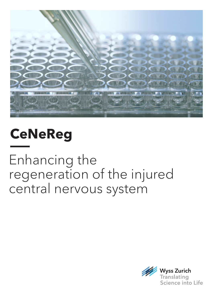

## **CeNeReg**

Enhancing the regeneration of the injured central nervous system